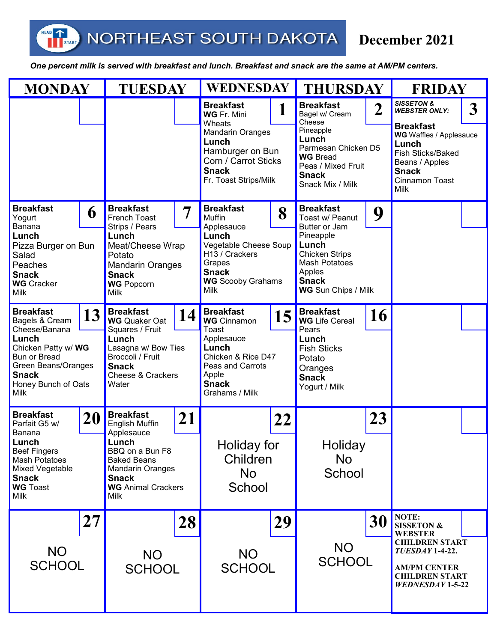NORTHEAST SOUTH DAKOTA

HEAD

T<sub>START</sub>

## **December 2021**

 *One percent milk is served with breakfast and lunch. Breakfast and snack are the same at AM/PM centers.* 

| <b>MONDAY</b>                                                                                                                              |    | <b>TUESDAY</b>                                                                                                                               |    | <b>WEDNESDAY</b>                                                                                                                |    | <b>THURSDAY</b>                                                                                                                       |                  | <b>FRIDAY</b>                                                                                                                                       |   |
|--------------------------------------------------------------------------------------------------------------------------------------------|----|----------------------------------------------------------------------------------------------------------------------------------------------|----|---------------------------------------------------------------------------------------------------------------------------------|----|---------------------------------------------------------------------------------------------------------------------------------------|------------------|-----------------------------------------------------------------------------------------------------------------------------------------------------|---|
|                                                                                                                                            |    |                                                                                                                                              |    | <b>Breakfast</b><br>WG Fr. Mini                                                                                                 |    | <b>Breakfast</b><br>Bagel w/ Cream<br>Cheese                                                                                          | $\boldsymbol{2}$ | <b>SISSETON &amp;</b><br><b>WEBSTER ONLY:</b>                                                                                                       | 3 |
|                                                                                                                                            |    |                                                                                                                                              |    | Wheats<br><b>Mandarin Oranges</b><br>Lunch<br>Hamburger on Bun<br>Corn / Carrot Sticks<br><b>Snack</b><br>Fr. Toast Strips/Milk |    | Pineapple<br>Lunch<br>Parmesan Chicken D5<br><b>WG Bread</b><br>Peas / Mixed Fruit<br><b>Snack</b><br>Snack Mix / Milk                |                  | <b>Breakfast</b><br><b>WG</b> Waffles / Applesauce<br>Lunch<br>Fish Sticks/Baked<br>Beans / Apples<br><b>Snack</b><br>Cinnamon Toast<br><b>Milk</b> |   |
| <b>Breakfast</b><br>Yogurt                                                                                                                 | 6  | <b>Breakfast</b><br>French Toast                                                                                                             | 7  | <b>Breakfast</b><br><b>Muffin</b>                                                                                               | 8  | <b>Breakfast</b><br>Toast w/ Peanut                                                                                                   | 9                |                                                                                                                                                     |   |
| Banana<br>Lunch<br>Pizza Burger on Bun<br>Salad<br>Peaches<br><b>Snack</b><br><b>WG</b> Cracker<br>Milk                                    |    | Strips / Pears<br>Lunch<br>Meat/Cheese Wrap<br>Potato<br><b>Mandarin Oranges</b><br><b>Snack</b><br><b>WG</b> Popcorn<br>Milk                |    | Applesauce<br>Lunch<br>Vegetable Cheese Soup<br>H13 / Crackers<br>Grapes<br><b>Snack</b><br><b>WG</b> Scooby Grahams<br>Milk    |    | Butter or Jam<br>Pineapple<br>Lunch<br><b>Chicken Strips</b><br><b>Mash Potatoes</b><br>Apples<br><b>Snack</b><br>WG Sun Chips / Milk |                  |                                                                                                                                                     |   |
| <b>Breakfast</b><br>Bagels & Cream                                                                                                         | 13 | <b>Breakfast</b><br><b>WG</b> Quaker Oat                                                                                                     | 14 | <b>Breakfast</b><br><b>WG</b> Cinnamon                                                                                          | 15 | <b>Breakfast</b><br><b>WG</b> Life Cereal                                                                                             | <b>16</b>        |                                                                                                                                                     |   |
| Cheese/Banana<br>Lunch<br>Chicken Patty w/ WG<br><b>Bun or Bread</b><br>Green Beans/Oranges<br><b>Snack</b><br>Honey Bunch of Oats<br>Milk |    | Squares / Fruit<br>Lunch<br>Lasagna w/ Bow Ties<br>Broccoli / Fruit<br><b>Snack</b><br><b>Cheese &amp; Crackers</b><br>Water                 |    | Toast<br>Applesauce<br>Lunch<br>Chicken & Rice D47<br>Peas and Carrots<br>Apple<br><b>Snack</b><br>Grahams / Milk               |    | Pears<br>Lunch<br><b>Fish Sticks</b><br>Potato<br>Oranges<br><b>Snack</b><br>Yogurt / Milk                                            |                  |                                                                                                                                                     |   |
| <b>Breakfast</b><br>Parfait G5 w/<br>Banana                                                                                                | 20 | <b>Breakfast</b><br><b>English Muffin</b>                                                                                                    | 21 |                                                                                                                                 | 22 |                                                                                                                                       | 23               |                                                                                                                                                     |   |
| Lunch<br><b>Beef Fingers</b><br><b>Mash Potatoes</b><br>Mixed Vegetable<br><b>Snack</b><br><b>WG Toast</b><br><b>Milk</b>                  |    | Applesauce<br>Lunch<br>BBQ on a Bun F8<br><b>Baked Beans</b><br><b>Mandarin Oranges</b><br><b>Snack</b><br><b>WG</b> Animal Crackers<br>Milk |    | Holiday for<br>Children<br><b>No</b><br>School                                                                                  |    | Holiday<br>No<br>School                                                                                                               |                  |                                                                                                                                                     |   |
|                                                                                                                                            | 27 |                                                                                                                                              | 28 |                                                                                                                                 | 29 |                                                                                                                                       | 30               | NOTE:<br><b>SISSETON &amp;</b><br><b>WEBSTER</b>                                                                                                    |   |
| <b>NO</b><br><b>SCHOOL</b>                                                                                                                 |    | <b>NO</b><br><b>SCHOOL</b>                                                                                                                   |    | <b>NO</b><br><b>SCHOOL</b>                                                                                                      |    | <b>NO</b><br><b>SCHOOL</b>                                                                                                            |                  | <b>CHILDREN START</b><br>TUESDAY 1-4-22.<br><b>AM/PM CENTER</b><br><b>CHILDREN START</b><br><b>WEDNESDAY 1-5-22</b>                                 |   |